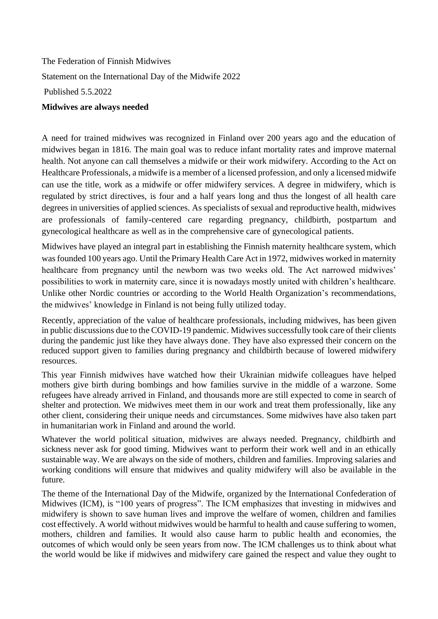The Federation of Finnish Midwives Statement on the International Day of the Midwife 2022 Published 5.5.2022 **Midwives are always needed**

A need for trained midwives was recognized in Finland over 200 years ago and the education of midwives began in 1816. The main goal was to reduce infant mortality rates and improve maternal health. Not anyone can call themselves a midwife or their work midwifery. According to the Act on Healthcare Professionals, a midwife is a member of a licensed profession, and only a licensed midwife can use the title, work as a midwife or offer midwifery services. A degree in midwifery, which is regulated by strict directives, is four and a half years long and thus the longest of all health care degrees in universities of applied sciences. As specialists of sexual and reproductive health, midwives are professionals of family-centered care regarding pregnancy, childbirth, postpartum and gynecological healthcare as well as in the comprehensive care of gynecological patients.

Midwives have played an integral part in establishing the Finnish maternity healthcare system, which was founded 100 years ago. Until the Primary Health Care Act in 1972, midwives worked in maternity healthcare from pregnancy until the newborn was two weeks old. The Act narrowed midwives' possibilities to work in maternity care, since it is nowadays mostly united with children's healthcare. Unlike other Nordic countries or according to the World Health Organization's recommendations, the midwives' knowledge in Finland is not being fully utilized today.

Recently, appreciation of the value of healthcare professionals, including midwives, has been given in public discussions due to the COVID-19 pandemic. Midwives successfully took care of their clients during the pandemic just like they have always done. They have also expressed their concern on the reduced support given to families during pregnancy and childbirth because of lowered midwifery resources.

This year Finnish midwives have watched how their Ukrainian midwife colleagues have helped mothers give birth during bombings and how families survive in the middle of a warzone. Some refugees have already arrived in Finland, and thousands more are still expected to come in search of shelter and protection. We midwives meet them in our work and treat them professionally, like any other client, considering their unique needs and circumstances. Some midwives have also taken part in humanitarian work in Finland and around the world.

Whatever the world political situation, midwives are always needed. Pregnancy, childbirth and sickness never ask for good timing. Midwives want to perform their work well and in an ethically sustainable way. We are always on the side of mothers, children and families. Improving salaries and working conditions will ensure that midwives and quality midwifery will also be available in the future.

The theme of the International Day of the Midwife, organized by the International Confederation of Midwives (ICM), is "100 years of progress". The ICM emphasizes that investing in midwives and midwifery is shown to save human lives and improve the welfare of women, children and families cost effectively. A world without midwives would be harmful to health and cause suffering to women, mothers, children and families. It would also cause harm to public health and economies, the outcomes of which would only be seen years from now. The ICM challenges us to think about what the world would be like if midwives and midwifery care gained the respect and value they ought to